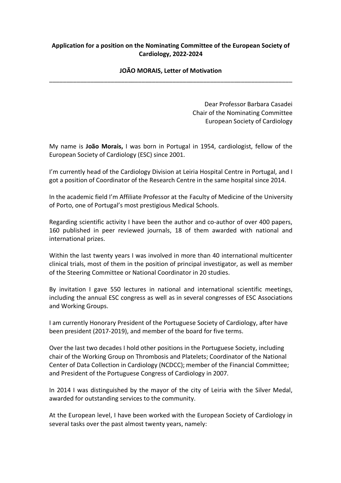## **Application for a position on the Nominating Committee of the European Society of Cardiology, 2022-2024**

## **JOÃO MORAIS, Letter of Motivation**  \_\_\_\_\_\_\_\_\_\_\_\_\_\_\_\_\_\_\_\_\_\_\_\_\_\_\_\_\_\_\_\_\_\_\_\_\_\_\_\_\_\_\_\_\_\_\_\_\_\_\_\_\_\_\_\_\_\_\_\_\_\_\_\_\_\_\_\_\_\_\_

Dear Professor Barbara Casadei Chair of the Nominating Committee European Society of Cardiology

My name is **João Morais,** I was born in Portugal in 1954, cardiologist, fellow of the European Society of Cardiology (ESC) since 2001.

I'm currently head of the Cardiology Division at Leiria Hospital Centre in Portugal, and I got a position of Coordinator of the Research Centre in the same hospital since 2014.

In the academic field I'm Affiliate Professor at the Faculty of Medicine of the University of Porto, one of Portugal's most prestigious Medical Schools.

Regarding scientific activity I have been the author and co-author of over 400 papers, 160 published in peer reviewed journals, 18 of them awarded with national and international prizes.

Within the last twenty years I was involved in more than 40 international multicenter clinical trials, most of them in the position of principal investigator, as well as member of the Steering Committee or National Coordinator in 20 studies.

By invitation I gave 550 lectures in national and international scientific meetings, including the annual ESC congress as well as in several congresses of ESC Associations and Working Groups.

I am currently Honorary President of the Portuguese Society of Cardiology, after have been president (2017-2019), and member of the board for five terms.

Over the last two decades I hold other positions in the Portuguese Society, including chair of the Working Group on Thrombosis and Platelets; Coordinator of the National Center of Data Collection in Cardiology (NCDCC); member of the Financial Committee; and President of the Portuguese Congress of Cardiology in 2007.

In 2014 I was distinguished by the mayor of the city of Leiria with the Silver Medal, awarded for outstanding services to the community.

At the European level, I have been worked with the European Society of Cardiology in several tasks over the past almost twenty years, namely: